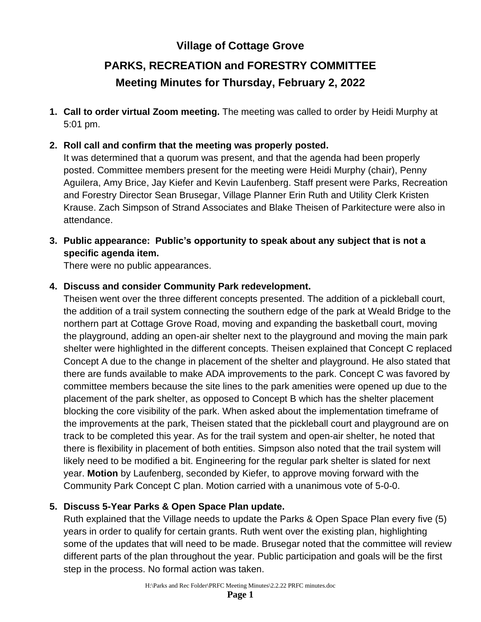## **Village of Cottage Grove**

# **PARKS, RECREATION and FORESTRY COMMITTEE Meeting Minutes for Thursday, February 2, 2022**

- **1. Call to order virtual Zoom meeting.** The meeting was called to order by Heidi Murphy at 5:01 pm.
- **2. Roll call and confirm that the meeting was properly posted.**

It was determined that a quorum was present, and that the agenda had been properly posted. Committee members present for the meeting were Heidi Murphy (chair), Penny Aguilera, Amy Brice, Jay Kiefer and Kevin Laufenberg. Staff present were Parks, Recreation and Forestry Director Sean Brusegar, Village Planner Erin Ruth and Utility Clerk Kristen Krause. Zach Simpson of Strand Associates and Blake Theisen of Parkitecture were also in attendance.

**3. Public appearance: Public's opportunity to speak about any subject that is not a specific agenda item.**

There were no public appearances.

#### **4. Discuss and consider Community Park redevelopment.**

Theisen went over the three different concepts presented. The addition of a pickleball court, the addition of a trail system connecting the southern edge of the park at Weald Bridge to the northern part at Cottage Grove Road, moving and expanding the basketball court, moving the playground, adding an open-air shelter next to the playground and moving the main park shelter were highlighted in the different concepts. Theisen explained that Concept C replaced Concept A due to the change in placement of the shelter and playground. He also stated that there are funds available to make ADA improvements to the park. Concept C was favored by committee members because the site lines to the park amenities were opened up due to the placement of the park shelter, as opposed to Concept B which has the shelter placement blocking the core visibility of the park. When asked about the implementation timeframe of the improvements at the park, Theisen stated that the pickleball court and playground are on track to be completed this year. As for the trail system and open-air shelter, he noted that there is flexibility in placement of both entities. Simpson also noted that the trail system will likely need to be modified a bit. Engineering for the regular park shelter is slated for next year. **Motion** by Laufenberg, seconded by Kiefer, to approve moving forward with the Community Park Concept C plan. Motion carried with a unanimous vote of 5-0-0.

## **5. Discuss 5-Year Parks & Open Space Plan update.**

Ruth explained that the Village needs to update the Parks & Open Space Plan every five (5) years in order to qualify for certain grants. Ruth went over the existing plan, highlighting some of the updates that will need to be made. Brusegar noted that the committee will review different parts of the plan throughout the year. Public participation and goals will be the first step in the process. No formal action was taken.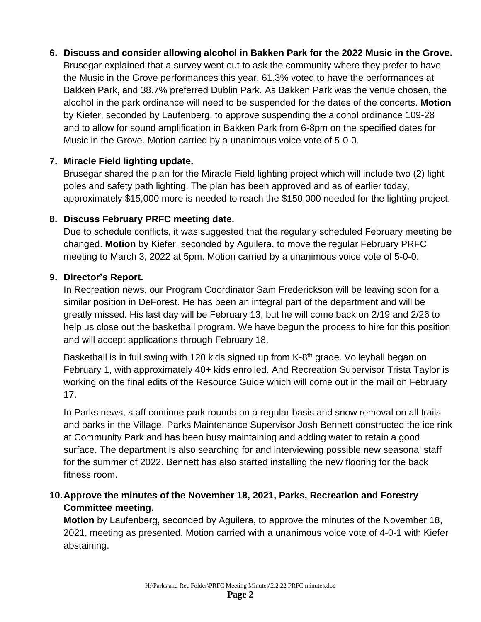**6. Discuss and consider allowing alcohol in Bakken Park for the 2022 Music in the Grove.** Brusegar explained that a survey went out to ask the community where they prefer to have the Music in the Grove performances this year. 61.3% voted to have the performances at Bakken Park, and 38.7% preferred Dublin Park. As Bakken Park was the venue chosen, the alcohol in the park ordinance will need to be suspended for the dates of the concerts. **Motion** by Kiefer, seconded by Laufenberg, to approve suspending the alcohol ordinance 109-28 and to allow for sound amplification in Bakken Park from 6-8pm on the specified dates for Music in the Grove. Motion carried by a unanimous voice vote of 5-0-0.

#### **7. Miracle Field lighting update.**

Brusegar shared the plan for the Miracle Field lighting project which will include two (2) light poles and safety path lighting. The plan has been approved and as of earlier today, approximately \$15,000 more is needed to reach the \$150,000 needed for the lighting project.

## **8. Discuss February PRFC meeting date.**

Due to schedule conflicts, it was suggested that the regularly scheduled February meeting be changed. **Motion** by Kiefer, seconded by Aguilera, to move the regular February PRFC meeting to March 3, 2022 at 5pm. Motion carried by a unanimous voice vote of 5-0-0.

## **9. Director's Report.**

In Recreation news, our Program Coordinator Sam Frederickson will be leaving soon for a similar position in DeForest. He has been an integral part of the department and will be greatly missed. His last day will be February 13, but he will come back on 2/19 and 2/26 to help us close out the basketball program. We have begun the process to hire for this position and will accept applications through February 18.

Basketball is in full swing with 120 kids signed up from K-8<sup>th</sup> grade. Volleyball began on February 1, with approximately 40+ kids enrolled. And Recreation Supervisor Trista Taylor is working on the final edits of the Resource Guide which will come out in the mail on February 17.

In Parks news, staff continue park rounds on a regular basis and snow removal on all trails and parks in the Village. Parks Maintenance Supervisor Josh Bennett constructed the ice rink at Community Park and has been busy maintaining and adding water to retain a good surface. The department is also searching for and interviewing possible new seasonal staff for the summer of 2022. Bennett has also started installing the new flooring for the back fitness room.

## **10.Approve the minutes of the November 18, 2021, Parks, Recreation and Forestry Committee meeting.**

**Motion** by Laufenberg, seconded by Aguilera, to approve the minutes of the November 18, 2021, meeting as presented. Motion carried with a unanimous voice vote of 4-0-1 with Kiefer abstaining.